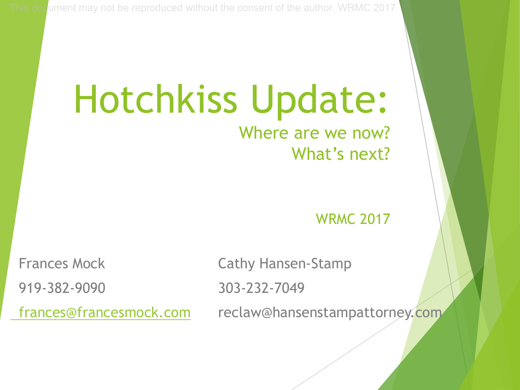#### Hotchkiss Update: Where are we now? What's next?

WRMC 2017

919-382-9090 303-232-7049

Frances Mock Cathy Hansen-Stamp

frances@francesmock.com reclaw@hansenstampattorney.com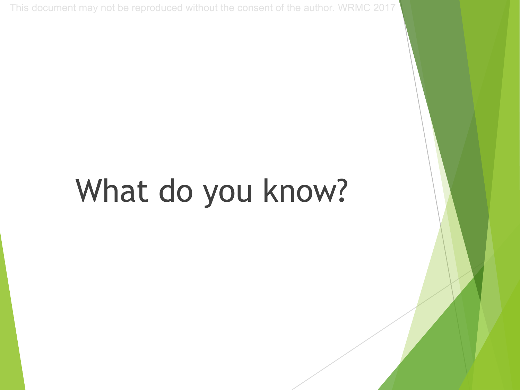## What do you know?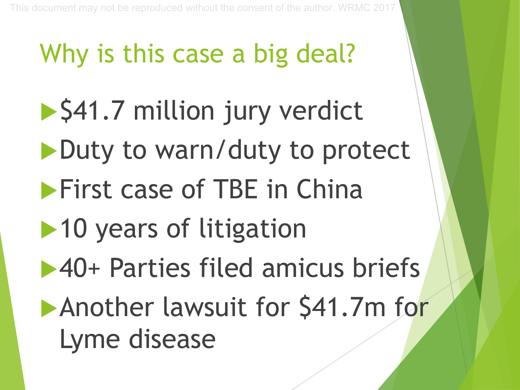## Why is this case a big deal?

- ▶ \$41.7 million jury verdict
- Duty to warn/duty to protect
- **First case of TBE in China**
- $\blacktriangleright$  10 years of litigation
- **140+ Parties filed amicus briefs**
- **Another lawsuit for \$41.7m for** Lyme disease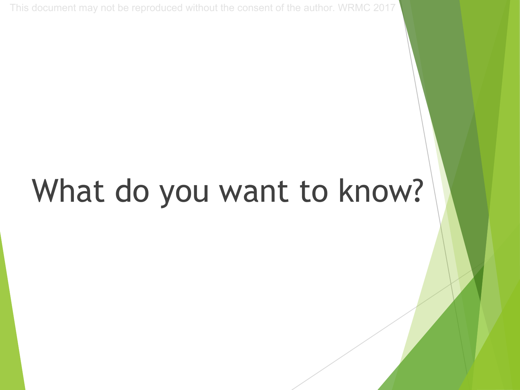## What do you want to know?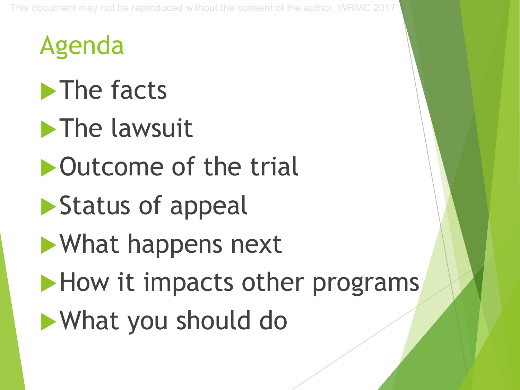Agenda

 $\blacktriangleright$  The facts

 $\blacktriangleright$  The lawsuit

 $\triangleright$  Outcome of the trial

 $\blacktriangleright$  Status of appeal

uWhat happens next

 $\blacktriangleright$  How it impacts other programs

**What you should do**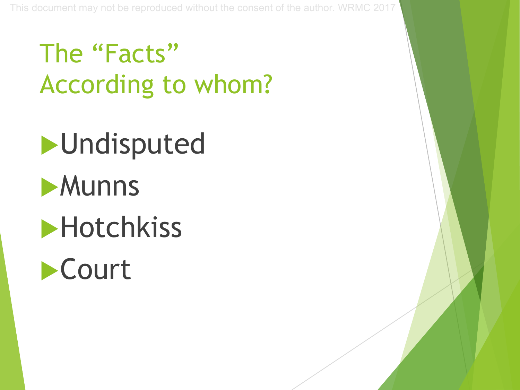## The "Facts" According to whom?

# $\blacktriangleright$ Undisputed **Munns**

 $\blacktriangleright$  Hotchkiss

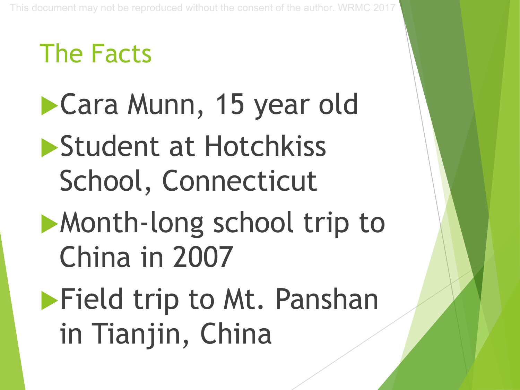## The Facts

- ▶ Cara Munn, 15 year old Student at Hotchkiss School, Connecticut
- Month-long school trip to China in 2007
- **Field trip to Mt. Panshan** in Tianjin, China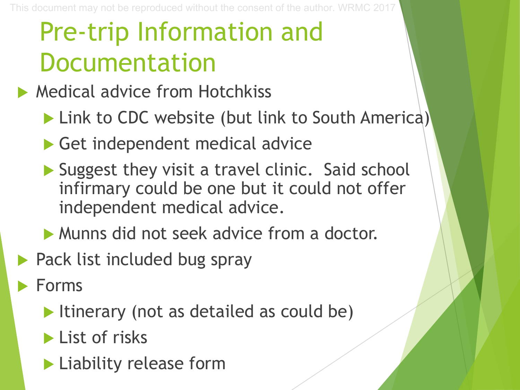## Pre-trip Information and Documentation

- $\blacktriangleright$  Medical advice from Hotchkiss
	- ▶ Link to CDC website (but link to South America)
	- $\blacktriangleright$  Get independent medical advice
	- $\blacktriangleright$  Suggest they visit a travel clinic. Said school infirmary could be one but it could not offer independent medical advice.
	- Munns did not seek advice from a doctor.
- $\blacktriangleright$  Pack list included bug spray
- Forms
	- $\blacktriangleright$  Itinerary (not as detailed as could be)
	- $\blacktriangleright$  List of risks
	- $\blacktriangleright$  Liability release form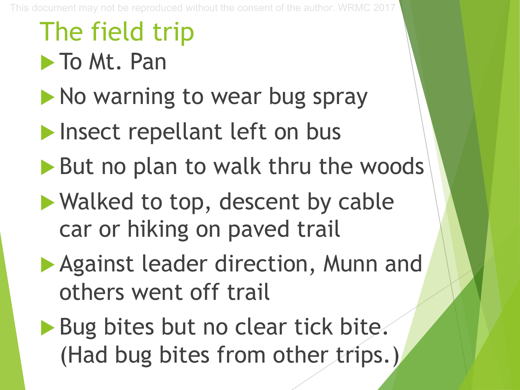## The field trip

**To Mt. Pan** 

- $\blacktriangleright$  No warning to wear bug spray
- $\blacktriangleright$  Insect repellant left on bus
- $\blacktriangleright$  But no plan to walk thru the woods
- $\blacktriangleright$  Walked to top, descent by cable car or hiking on paved trail
- Against leader direction, Munn and others went off trail
- Bug bites but no clear tick bite. (Had bug bites from other trips.)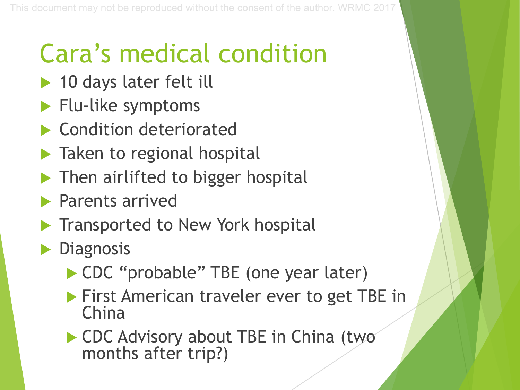## Cara's medical condition

- $\blacktriangleright$  10 days later felt ill
- $\blacktriangleright$  Flu-like symptoms
- **Condition deteriorated**
- $\blacktriangleright$  Taken to regional hospital
- Then airlifted to bigger hospital
- Parents arrived
- Transported to New York hospital
- Diagnosis
	- ▶ CDC "probable" TBE (one year later)
	- **First American traveler ever to get TBE in** China
	- ▶ CDC Advisory about TBE in China (two months after trip?)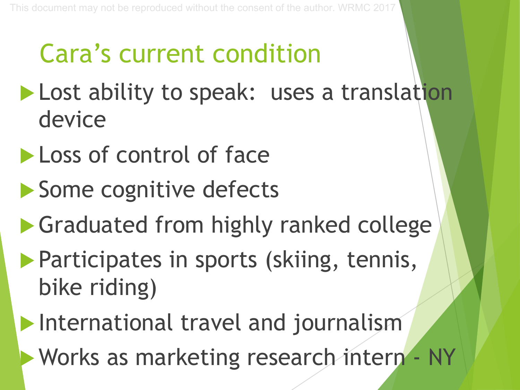## Cara's current condition

- Lost ability to speak: uses a translation device
- Loss of control of face
- Some cognitive defects
- $\blacktriangleright$  Graduated from highly ranked college
- **Participates in sports (skiing, tennis,** bike riding)
- $\blacktriangleright$  International travel and journalism
- **Works as marketing research intern NY**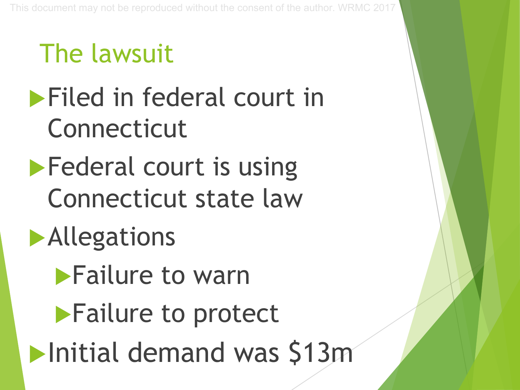## The lawsuit

- $\blacktriangleright$  Filed in federal court in Connecticut
- $\blacktriangleright$  Federal court is using Connecticut state law
- $\blacktriangleright$  Allegations
	- **Failure to warn**
	- $\blacktriangleright$  Failure to protect
- $\blacktriangleright$  Initial demand was \$13 $m$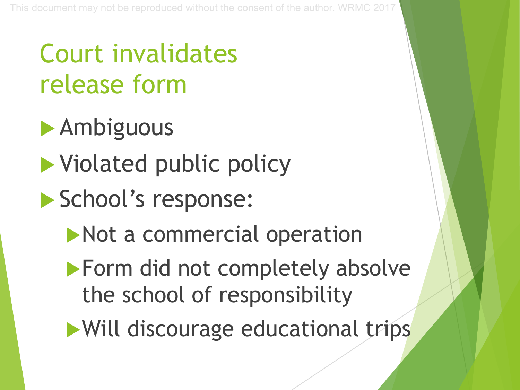## Court invalidates release form

- $\blacktriangleright$  Ambiguous
- $\blacktriangleright$  Violated public policy
- School's response:
	- $\blacktriangleright$  Not a commercial operation
	- $\blacktriangleright$  Form did not completely absolve the school of responsibility
	- Will discourage educational trips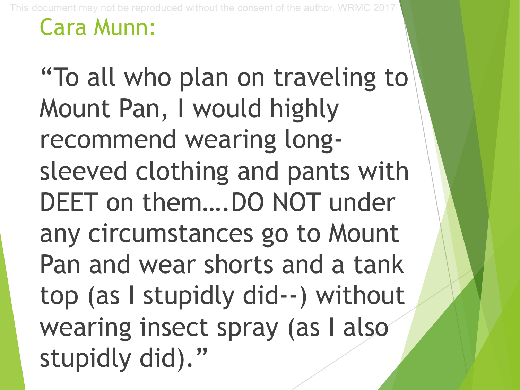#### Cara Munn:

"To all who plan on traveling to Mount Pan, I would highly recommend wearing longsleeved clothing and pants with DEET on them….DO NOT under any circumstances go to Mount Pan and wear shorts and a tank top (as I stupidly did--) without wearing insect spray (as I also stupidly did)."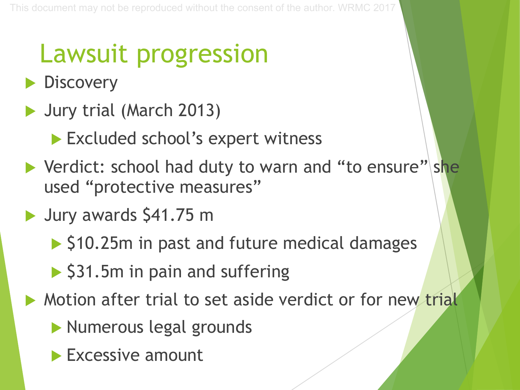## Lawsuit progression

- Discovery
- $\blacktriangleright$  Jury trial (March 2013)
	- Excluded school's expert witness
- $\blacktriangleright$  Verdict: school had duty to warn and "to ensure" she used "protective measures"
- $\blacktriangleright$  Jury awards \$41.75 m
	- $\triangleright$  \$10.25m in past and future medical damages
	- $\triangleright$  \$31.5m in pain and suffering
- $\triangleright$  Motion after trial to set aside verdict or for new trial
	- **Numerous legal grounds**
	- $\blacktriangleright$  Excessive amount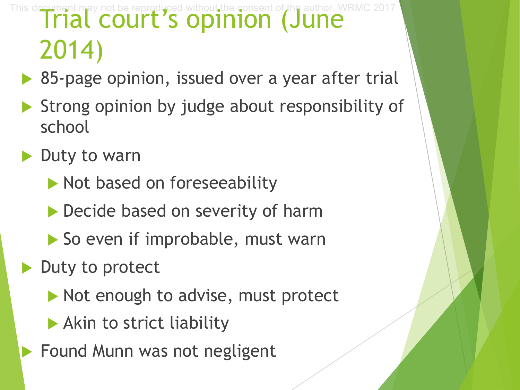This document may not be reproduced without the consent of the author. WRMC 2017<br> **Trial COUrt's Opinion (June** 2014)

 $\triangleright$  85-page opinion, issued over a year after trial

- $\blacktriangleright$  Strong opinion by judge about responsibility of school
- Duty to warn
	- $\blacktriangleright$  Not based on foreseeability
	- $\triangleright$  Decide based on severity of harm
	- $\blacktriangleright$  So even if improbable, must warn

Duty to protect

- $\blacktriangleright$  Not enough to advise, must protect
- $\blacktriangleright$  Akin to strict liability
- $\blacktriangleright$  Found Munn was not negligent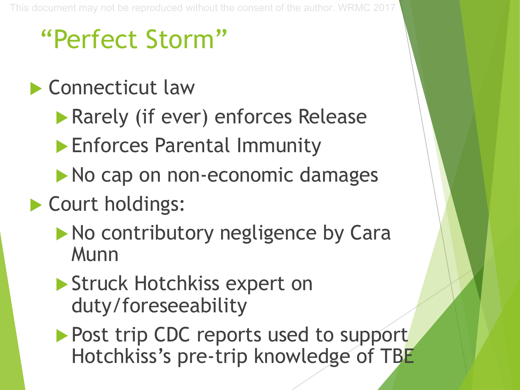### "Perfect Storm"

- $\blacktriangleright$  Connecticut law
	- **Rarely (if ever) enforces Release**
	- **Enforces Parental Immunity**
	- $\blacktriangleright$  No cap on non-economic damages
- $\blacktriangleright$  Court holdings:
	- $\blacktriangleright$  No contributory negligence by Cara **Munn**
	- Struck Hotchkiss expert on duty/foreseeability
	- Post trip CDC reports used to support Hotchkiss's pre-trip knowledge of TBE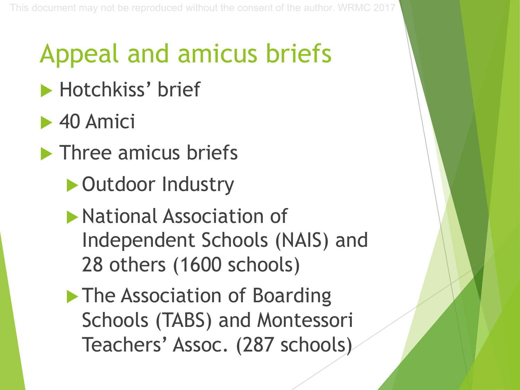## Appeal and amicus briefs

- Hotchkiss' brief
- $\blacktriangleright$  40 Amici
- $\blacktriangleright$  Three amicus briefs
	- ▶ Outdoor Industry
	- $\blacktriangleright$  National Association of Independent Schools (NAIS) and 28 others (1600 schools)
	- $\blacktriangleright$  The Association of Boarding Schools (TABS) and Montessori Teachers' Assoc. (287 schools)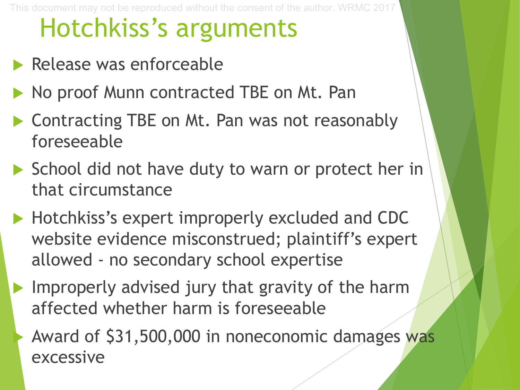## Hotchkiss's arguments

- $\blacktriangleright$  Release was enforceable
- No proof Munn contracted TBE on Mt. Pan
- $\triangleright$  Contracting TBE on Mt. Pan was not reasonably foreseeable
- $\triangleright$  School did not have duty to warn or protect her in that circumstance
- $\blacktriangleright$  Hotchkiss's expert improperly excluded and CDC website evidence misconstrued; plaintiff's expert allowed - no secondary school expertise
	- Improperly advised jury that gravity of the harm affected whether harm is foreseeable
		- Award of \$31,500,000 in noneconomic damages was excessive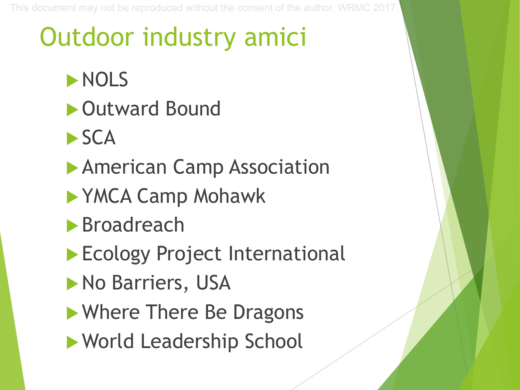## Outdoor industry amici

- $\blacktriangleright$  NOLS
- **Dutward Bound**
- $\blacktriangleright$  SCA
- **American Camp Association**
- **NYMCA Camp Mohawk**
- $\blacktriangleright$  Broadreach
- Ecology Project International
- No Barriers, USA
- $\blacktriangleright$  Where There Be Dragons
- ▶ World Leadership School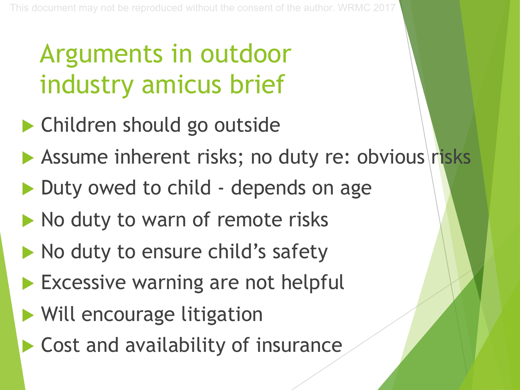## Arguments in outdoor industry amicus brief

- $\blacktriangleright$  Children should go outside
- Assume inherent risks; no duty re: obvious risks
- Duty owed to child depends on age
- $\blacktriangleright$  No duty to warn of remote risks
- $\blacktriangleright$  No duty to ensure child's safety
- $\blacktriangleright$  Excessive warning are not helpful
- $\blacktriangleright$  Will encourage litigation
- $\blacktriangleright$  Cost and availability of insurance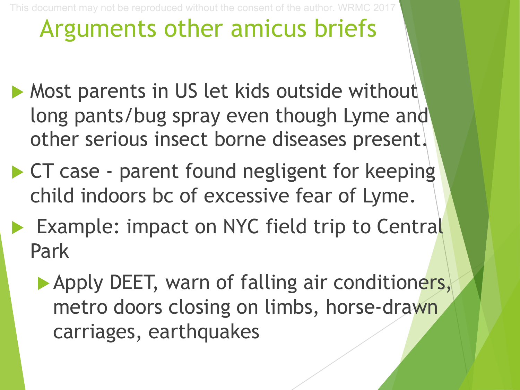### Arguments other amicus briefs

- $\blacktriangleright$  Most parents in US let kids outside without long pants/bug spray even though Lyme and other serious insect borne diseases present.
- $\triangleright$  CT case parent found negligent for keeping child indoors bc of excessive fear of Lyme.
- Example: impact on NYC field trip to Central Park
	- Apply DEET, warn of falling air conditioners, metro doors closing on limbs, horse-drawn carriages, earthquakes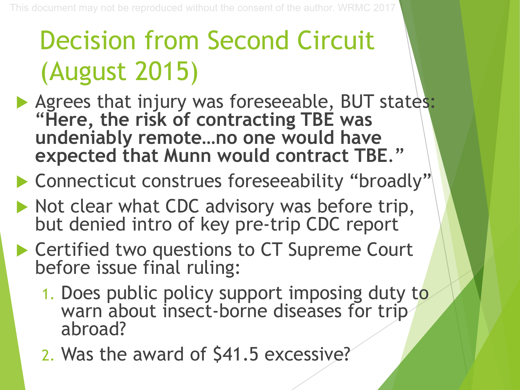## Decision from Second Circuit (August 2015)

- Agrees that injury was foreseeable, BUT states: "**Here, the risk of contracting TBE was undeniably remote…no one would have expected that Munn would contract TBE**."
- Connecticut construes foreseeability "broadly"
- $\blacktriangleright$  Not clear what CDC advisory was before trip, but denied intro of key pre-trip CDC report
- ▶ Certified two questions to CT Supreme Court before issue final ruling:
	- 1. Does public policy support imposing duty to warn about insect-borne diseases for trip abroad?
	- 2. Was the award of \$41.5 excessive?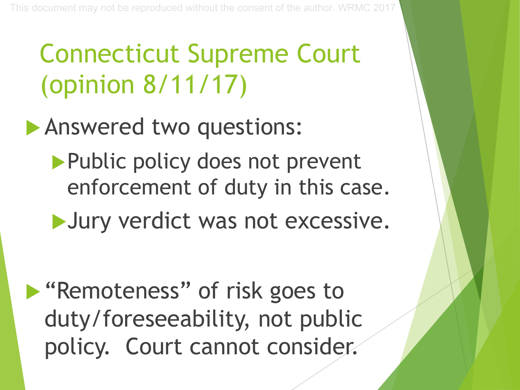## Connecticut Supreme Court (opinion 8/11/17)

#### Answered two questions:

Public policy does not prevent enforcement of duty in this case.

Uury verdict was not excessive.

**Example 10 Yundoo Strategoes To Key Strategoes To Ariza** duty/foreseeability, not public policy. Court cannot consider.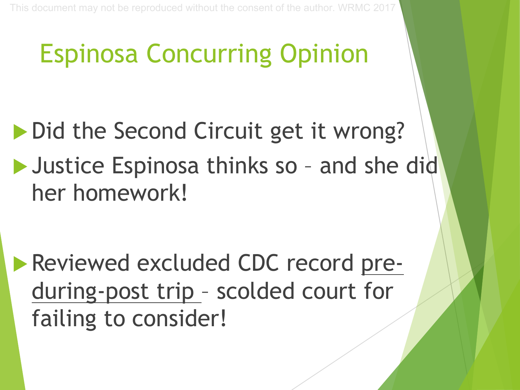## Espinosa Concurring Opinion

- Did the Second Circuit get it wrong?
- **Justice Espinosa thinks so and she did** her homework!

**Reviewed excluded CDC record pre**during-post trip – scolded court for failing to consider!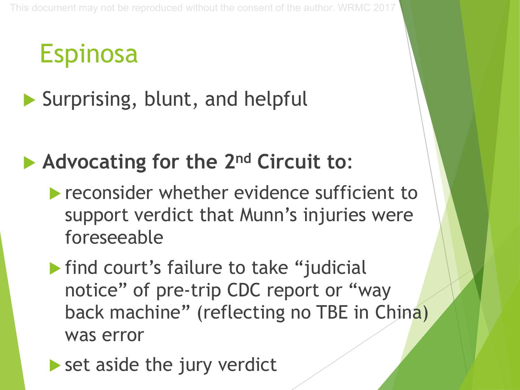## Espinosa

#### $\blacktriangleright$  Surprising, blunt, and helpful

#### u **Advocating for the 2nd Circuit to**:

- $\blacktriangleright$  reconsider whether evidence sufficient to support verdict that Munn's injuries were foreseeable
- $\blacktriangleright$  find court's failure to take "judicial notice" of pre-trip CDC report or "way back machine" (reflecting no TBE in China) was error
- $\blacktriangleright$  set aside the jury verdict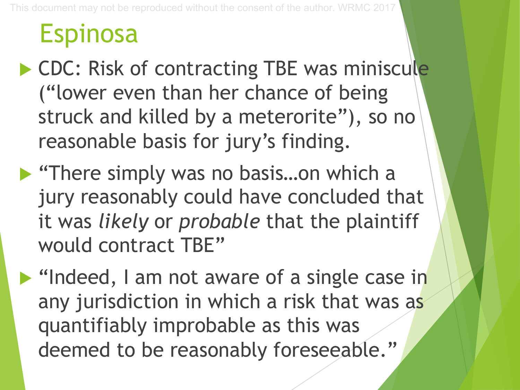#### Espinosa

- ▶ CDC: Risk of contracting TBE was miniscule ("lower even than her chance of being struck and killed by a meterorite"), so no reasonable basis for jury's finding.
- $\blacktriangleright$  "There simply was no basis...on which a jury reasonably could have concluded that it was *likely* or *probable* that the plaintiff would contract TBE"

**I** "Indeed, I am not aware of a single case in any jurisdiction in which a risk that was as quantifiably improbable as this was deemed to be reasonably foreseeable."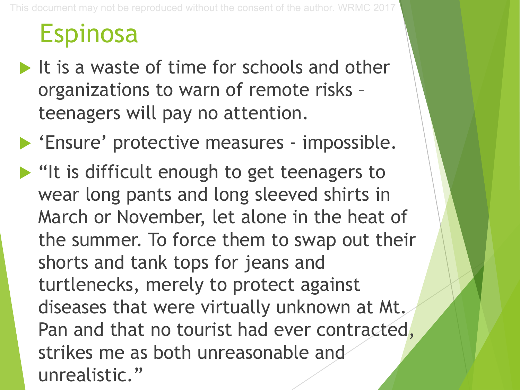#### Espinosa

- $\blacktriangleright$  It is a waste of time for schools and other organizations to warn of remote risks – teenagers will pay no attention.
- **Ensure' protective measures impossible.**
- $\blacktriangleright$  "It is difficult enough to get teenagers to wear long pants and long sleeved shirts in March or November, let alone in the heat of the summer. To force them to swap out their shorts and tank tops for jeans and turtlenecks, merely to protect against diseases that were virtually unknown at Mt. Pan and that no tourist had ever contracted, strikes me as both unreasonable and unrealistic."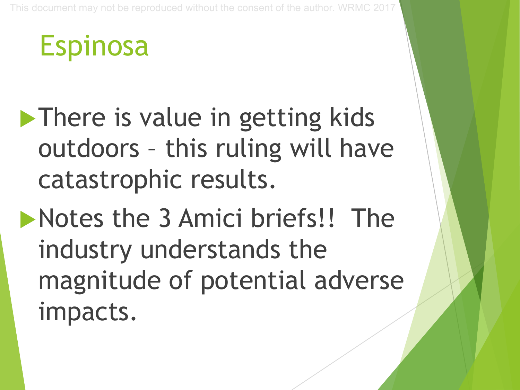Espinosa

- $\blacktriangleright$  There is value in getting kids outdoors – this ruling will have catastrophic results.
- $\blacktriangleright$  Notes the 3 Amici briefs!! The industry understands the magnitude of potential adverse impacts.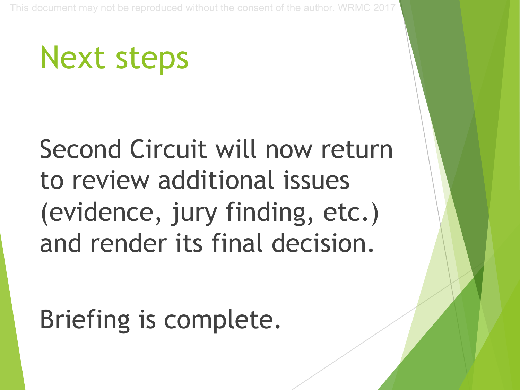## Next steps

Second Circuit will now return to review additional issues (evidence, jury finding, etc.) and render its final decision.

Briefing is complete.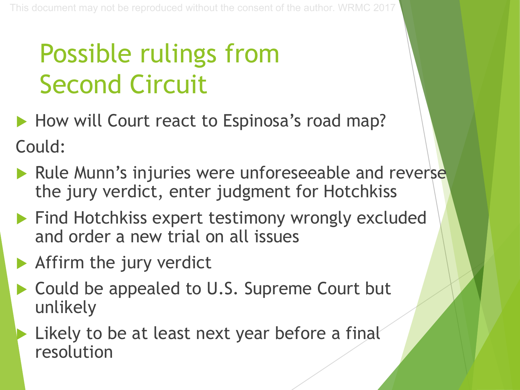## Possible rulings from Second Circuit

- How will Court react to Espinosa's road map? Could:
- $\blacktriangleright$  Rule Munn's injuries were unforeseeable and reverse the jury verdict, enter judgment for Hotchkiss
- $\blacktriangleright$  Find Hotchkiss expert testimony wrongly excluded and order a new trial on all issues
- $\blacktriangleright$  Affirm the jury verdict
- ▶ Could be appealed to U.S. Supreme Court but unlikely
	- Likely to be at least next year before a final resolution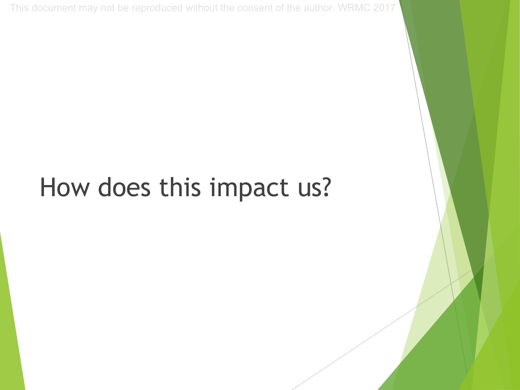### How does this impact us?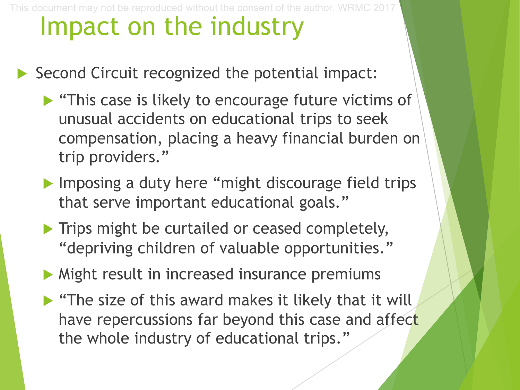#### Impact on the industry This document may not be reproduced without the consent of the author. WRMC 2017

- $\triangleright$  Second Circuit recognized the potential impact:
	- $\blacktriangleright$  "This case is likely to encourage future victims of unusual accidents on educational trips to seek compensation, placing a heavy financial burden on trip providers."
	- $\blacktriangleright$  Imposing a duty here "might discourage field trips that serve important educational goals."
	- $\blacktriangleright$  Trips might be curtailed or ceased completely, "depriving children of valuable opportunities."
	- $\triangleright$  Might result in increased insurance premiums
	- $\blacktriangleright$  "The size of this award makes it likely that it will have repercussions far beyond this case and affect the whole industry of educational trips."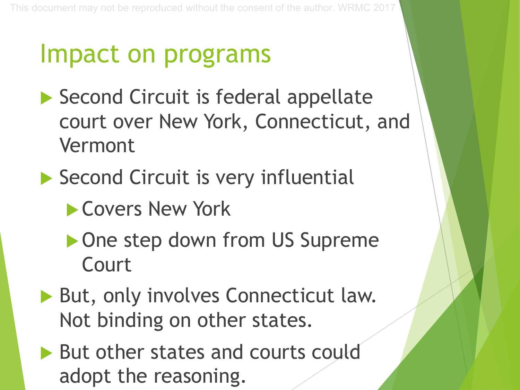### Impact on programs

- $\blacktriangleright$  Second Circuit is federal appellate court over New York, Connecticut, and Vermont
- $\blacktriangleright$  Second Circuit is very influential
	- **Covers New York**
	- ▶ One step down from US Supreme Court
- But, only involves Connecticut law. Not binding on other states.
- $\blacktriangleright$  But other states and courts could adopt the reasoning.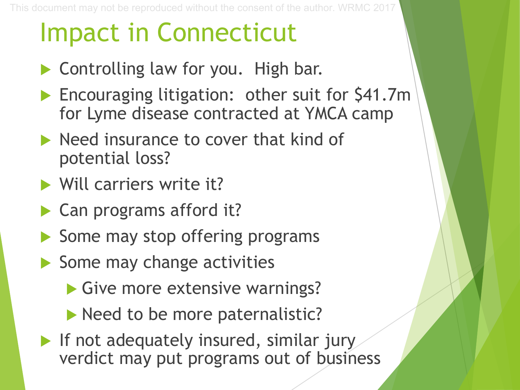### Impact in Connecticut

- $\blacktriangleright$  Controlling law for you. High bar.
- Encouraging litigation: other suit for \$41.7m for Lyme disease contracted at YMCA camp
- $\blacktriangleright$  Need insurance to cover that kind of potential loss?
- $\blacktriangleright$  Will carriers write it?
- Can programs afford it?
- $\blacktriangleright$  Some may stop offering programs
- $\blacktriangleright$  Some may change activities
	- $\blacktriangleright$  Give more extensive warnings?
	- $\blacktriangleright$  Need to be more paternalistic?
- $\blacktriangleright$  If not adequately insured, similar jury verdict may put programs out of business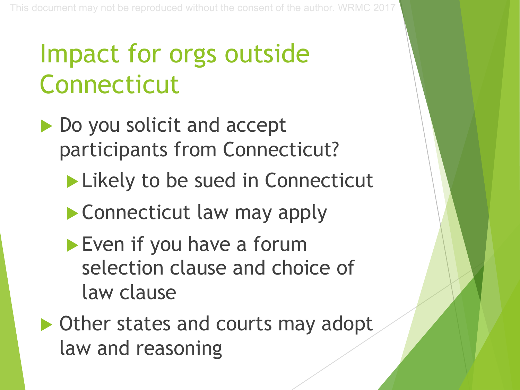## Impact for orgs outside Connecticut

- Do you solicit and accept participants from Connecticut?
	- $\blacktriangleright$  Likely to be sued in Connecticut
	- $\blacktriangleright$  Connecticut law may apply
	- $\blacktriangleright$  Even if you have a forum selection clause and choice of law clause

 $\triangleright$  Other states and courts may adopt law and reasoning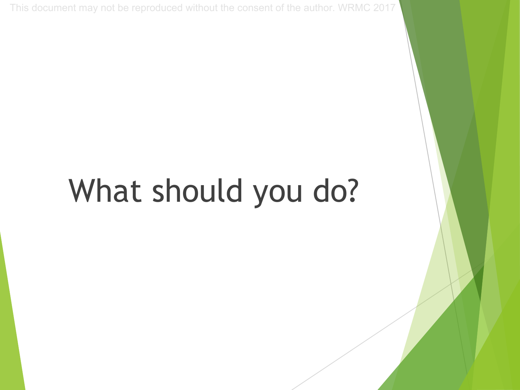## What should you do?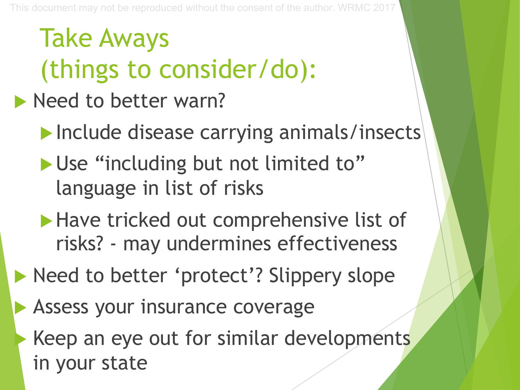## Take Aways (things to consider/do):

- $\blacktriangleright$  Need to better warn?
	- Include disease carrying animals/insects
	- Use "including but not limited to" language in list of risks
	- $\blacktriangleright$  Have tricked out comprehensive list of risks? - may undermines effectiveness
- lacktriangleright Need to better 'protect'? Slippery slope
- Assess your insurance coverage
	- Keep an eye out for similar developments in your state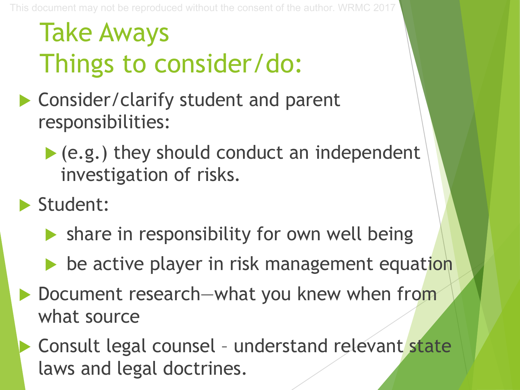## Take Aways Things to consider/do:

- $\blacktriangleright$  Consider/clarify student and parent responsibilities:
	- $\blacktriangleright$  (e.g.) they should conduct an independent investigation of risks.

 $\blacktriangleright$  Student:

- $\blacktriangleright$  share in responsibility for own well being
- $\blacktriangleright$  be active player in risk management equation
- ▶ Document research—what you knew when from what source
- Consult legal counsel understand relevant state laws and legal doctrines.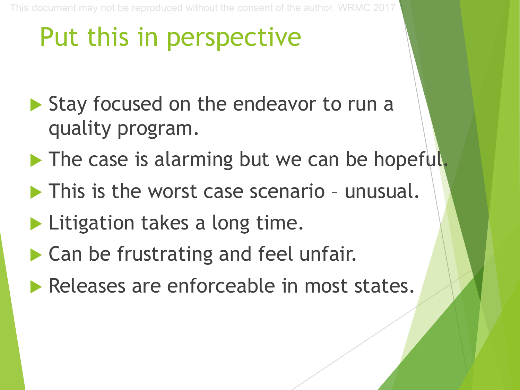## Put this in perspective

- $\blacktriangleright$  Stay focused on the endeavor to run a quality program.
- $\blacktriangleright$  The case is alarming but we can be hopeful.
- $\blacktriangleright$  This is the worst case scenario unusual.
- $\blacktriangleright$  Litigation takes a long time.
- $\blacktriangleright$  Can be frustrating and feel unfair.
- Releases are enforceable in most states.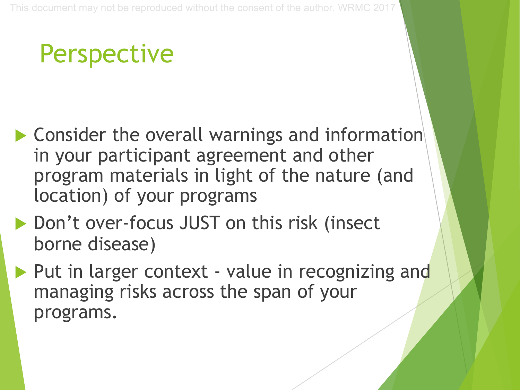## **Perspective**

- $\blacktriangleright$  Consider the overall warnings and information in your participant agreement and other program materials in light of the nature (and location) of your programs
- ▶ Don't over-focus JUST on this risk (insect borne disease)
- Put in larger context value in recognizing and managing risks across the span of your programs.